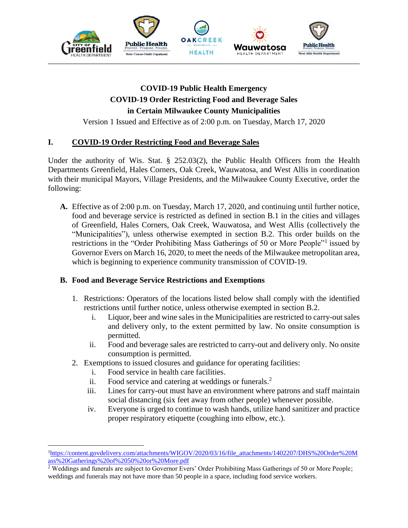

## **COVID-19 Public Health Emergency COVID-19 Order Restricting Food and Beverage Sales in Certain Milwaukee County Municipalities**

Version 1 Issued and Effective as of 2:00 p.m. on Tuesday, March 17, 2020

## **I. COVID-19 Order Restricting Food and Beverage Sales**

Under the authority of Wis. Stat. § 252.03(2), the Public Health Officers from the Health Departments Greenfield, Hales Corners, Oak Creek, Wauwatosa, and West Allis in coordination with their municipal Mayors, Village Presidents, and the Milwaukee County Executive, order the following:

**A.** Effective as of 2:00 p.m. on Tuesday, March 17, 2020, and continuing until further notice, food and beverage service is restricted as defined in section B.1 in the cities and villages of Greenfield, Hales Corners, Oak Creek, Wauwatosa, and West Allis (collectively the "Municipalities"), unless otherwise exempted in section B.2. This order builds on the restrictions in the "Order Prohibiting Mass Gatherings of 50 or More People"<sup>1</sup> issued by Governor Evers on March 16, 2020, to meet the needs of the Milwaukee metropolitan area, which is beginning to experience community transmission of COVID-19.

## **B. Food and Beverage Service Restrictions and Exemptions**

- 1. Restrictions: Operators of the locations listed below shall comply with the identified restrictions until further notice, unless otherwise exempted in section B.2.
	- i. Liquor, beer and wine sales in the Municipalities are restricted to carry-out sales and delivery only, to the extent permitted by law. No onsite consumption is permitted.
	- ii. Food and beverage sales are restricted to carry-out and delivery only. No onsite consumption is permitted.
- 2. Exemptions to issued closures and guidance for operating facilities:
	- i. Food service in health care facilities.

 $\overline{a}$ 

- ii. Food service and catering at weddings or funerals.<sup>2</sup>
- iii. Lines for carry-out must have an environment where patrons and staff maintain social distancing (six feet away from other people) whenever possible.
- iv. Everyone is urged to continue to wash hands, utilize hand sanitizer and practice proper respiratory etiquette (coughing into elbow, etc.).

<sup>1</sup>[https://content.govdelivery.com/attachments/WIGOV/2020/03/16/file\\_attachments/1402207/DHS%20Order%20M](https://content.govdelivery.com/attachments/WIGOV/2020/03/16/file_attachments/1402207/DHS%20Order%20Mass%20Gatherings%20of%2050%20or%20More.pdf) [ass%20Gatherings%20of%2050%20or%20More.pdf](https://content.govdelivery.com/attachments/WIGOV/2020/03/16/file_attachments/1402207/DHS%20Order%20Mass%20Gatherings%20of%2050%20or%20More.pdf)

<sup>&</sup>lt;sup>2</sup> Weddings and funerals are subject to Governor Evers' Order Prohibiting Mass Gatherings of 50 or More People; weddings and funerals may not have more than 50 people in a space, including food service workers.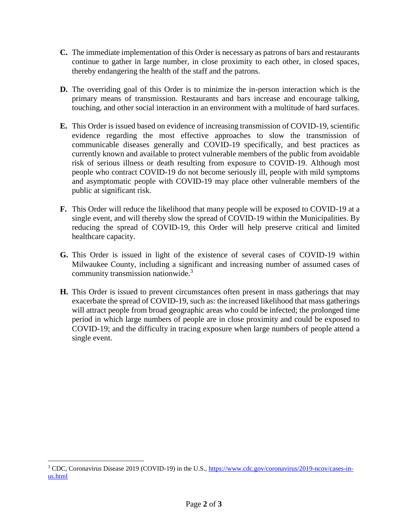- **C.** The immediate implementation of this Order is necessary as patrons of bars and restaurants continue to gather in large number, in close proximity to each other, in closed spaces, thereby endangering the health of the staff and the patrons.
- **D.** The overriding goal of this Order is to minimize the in-person interaction which is the primary means of transmission. Restaurants and bars increase and encourage talking, touching, and other social interaction in an environment with a multitude of hard surfaces.
- **E.** This Order is issued based on evidence of increasing transmission of COVID-19, scientific evidence regarding the most effective approaches to slow the transmission of communicable diseases generally and COVID-19 specifically, and best practices as currently known and available to protect vulnerable members of the public from avoidable risk of serious illness or death resulting from exposure to COVID-19. Although most people who contract COVID-19 do not become seriously ill, people with mild symptoms and asymptomatic people with COVID-19 may place other vulnerable members of the public at significant risk.
- **F.** This Order will reduce the likelihood that many people will be exposed to COVID-19 at a single event, and will thereby slow the spread of COVID-19 within the Municipalities. By reducing the spread of COVID-19, this Order will help preserve critical and limited healthcare capacity.
- **G.** This Order is issued in light of the existence of several cases of COVID-19 within Milwaukee County, including a significant and increasing number of assumed cases of community transmission nationwide.<sup>3</sup>
- **H.** This Order is issued to prevent circumstances often present in mass gatherings that may exacerbate the spread of COVID-19, such as: the increased likelihood that mass gatherings will attract people from broad geographic areas who could be infected; the prolonged time period in which large numbers of people are in close proximity and could be exposed to COVID-19; and the difficulty in tracing exposure when large numbers of people attend a single event.

 $\overline{a}$ 

<sup>&</sup>lt;sup>3</sup> CDC, Coronavirus Disease 2019 (COVID-19) in the U.S., [https://www.cdc.gov/coronavirus/2019-ncov/cases-in](https://www.cdc.gov/coronavirus/2019-ncov/cases-in-us.html)[us.html](https://www.cdc.gov/coronavirus/2019-ncov/cases-in-us.html)